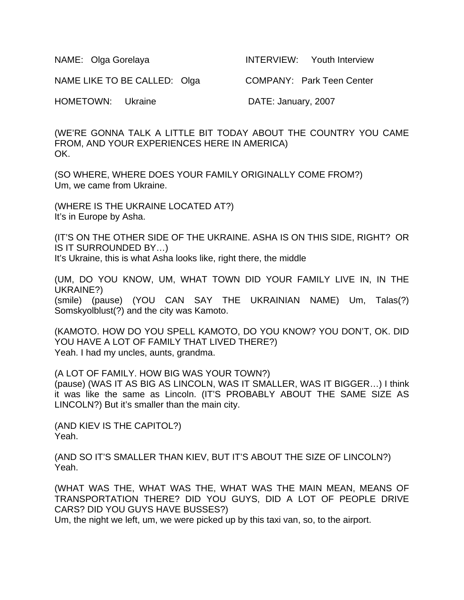NAME: Olga Gorelaya **INTERVIEW:** Youth Interview

NAME LIKE TO BE CALLED: Olga COMPANY: Park Teen Center

HOMETOWN: Ukraine DATE: January, 2007

(WE'RE GONNA TALK A LITTLE BIT TODAY ABOUT THE COUNTRY YOU CAME FROM, AND YOUR EXPERIENCES HERE IN AMERICA) OK.

(SO WHERE, WHERE DOES YOUR FAMILY ORIGINALLY COME FROM?) Um, we came from Ukraine.

(WHERE IS THE UKRAINE LOCATED AT?) It's in Europe by Asha.

(IT'S ON THE OTHER SIDE OF THE UKRAINE. ASHA IS ON THIS SIDE, RIGHT? OR IS IT SURROUNDED BY…) It's Ukraine, this is what Asha looks like, right there, the middle

(UM, DO YOU KNOW, UM, WHAT TOWN DID YOUR FAMILY LIVE IN, IN THE UKRAINE?)

(smile) (pause) (YOU CAN SAY THE UKRAINIAN NAME) Um, Talas(?) Somskyolblust(?) and the city was Kamoto.

(KAMOTO. HOW DO YOU SPELL KAMOTO, DO YOU KNOW? YOU DON'T, OK. DID YOU HAVE A LOT OF FAMILY THAT LIVED THERE?) Yeah. I had my uncles, aunts, grandma.

(A LOT OF FAMILY. HOW BIG WAS YOUR TOWN?) (pause) (WAS IT AS BIG AS LINCOLN, WAS IT SMALLER, WAS IT BIGGER…) I think it was like the same as Lincoln. (IT'S PROBABLY ABOUT THE SAME SIZE AS LINCOLN?) But it's smaller than the main city.

(AND KIEV IS THE CAPITOL?) Yeah.

(AND SO IT'S SMALLER THAN KIEV, BUT IT'S ABOUT THE SIZE OF LINCOLN?) Yeah.

(WHAT WAS THE, WHAT WAS THE, WHAT WAS THE MAIN MEAN, MEANS OF TRANSPORTATION THERE? DID YOU GUYS, DID A LOT OF PEOPLE DRIVE CARS? DID YOU GUYS HAVE BUSSES?)

Um, the night we left, um, we were picked up by this taxi van, so, to the airport.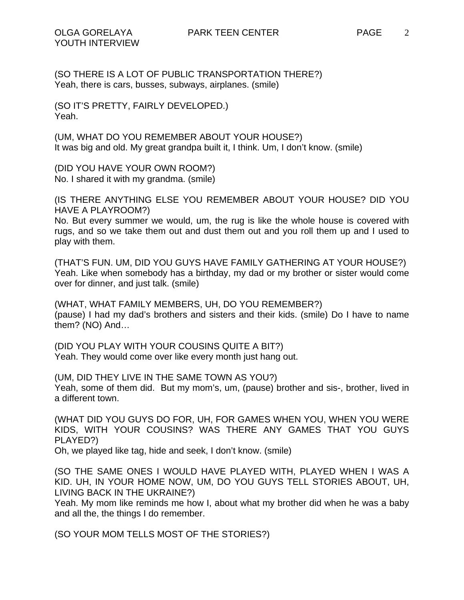2

(SO THERE IS A LOT OF PUBLIC TRANSPORTATION THERE?) Yeah, there is cars, busses, subways, airplanes. (smile)

(SO IT'S PRETTY, FAIRLY DEVELOPED.) Yeah.

(UM, WHAT DO YOU REMEMBER ABOUT YOUR HOUSE?) It was big and old. My great grandpa built it, I think. Um, I don't know. (smile)

(DID YOU HAVE YOUR OWN ROOM?) No. I shared it with my grandma. (smile)

(IS THERE ANYTHING ELSE YOU REMEMBER ABOUT YOUR HOUSE? DID YOU HAVE A PLAYROOM?)

No. But every summer we would, um, the rug is like the whole house is covered with rugs, and so we take them out and dust them out and you roll them up and I used to play with them.

(THAT'S FUN. UM, DID YOU GUYS HAVE FAMILY GATHERING AT YOUR HOUSE?) Yeah. Like when somebody has a birthday, my dad or my brother or sister would come over for dinner, and just talk. (smile)

(WHAT, WHAT FAMILY MEMBERS, UH, DO YOU REMEMBER?) (pause) I had my dad's brothers and sisters and their kids. (smile) Do I have to name them? (NO) And…

(DID YOU PLAY WITH YOUR COUSINS QUITE A BIT?) Yeah. They would come over like every month just hang out.

(UM, DID THEY LIVE IN THE SAME TOWN AS YOU?) Yeah, some of them did. But my mom's, um, (pause) brother and sis-, brother, lived in a different town.

(WHAT DID YOU GUYS DO FOR, UH, FOR GAMES WHEN YOU, WHEN YOU WERE KIDS, WITH YOUR COUSINS? WAS THERE ANY GAMES THAT YOU GUYS PLAYED?)

Oh, we played like tag, hide and seek, I don't know. (smile)

(SO THE SAME ONES I WOULD HAVE PLAYED WITH, PLAYED WHEN I WAS A KID. UH, IN YOUR HOME NOW, UM, DO YOU GUYS TELL STORIES ABOUT, UH, LIVING BACK IN THE UKRAINE?)

Yeah. My mom like reminds me how I, about what my brother did when he was a baby and all the, the things I do remember.

(SO YOUR MOM TELLS MOST OF THE STORIES?)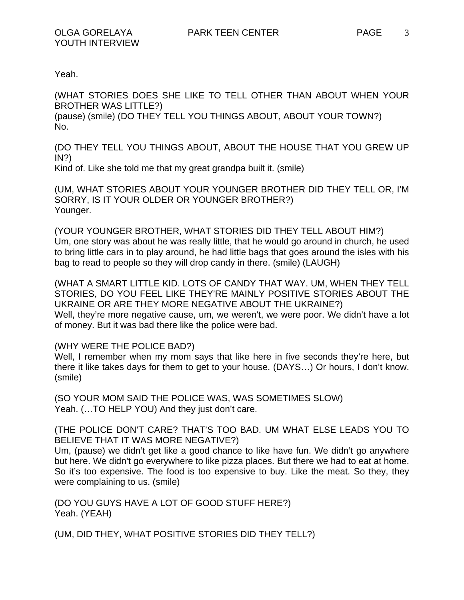Yeah.

(WHAT STORIES DOES SHE LIKE TO TELL OTHER THAN ABOUT WHEN YOUR BROTHER WAS LITTLE?) (pause) (smile) (DO THEY TELL YOU THINGS ABOUT, ABOUT YOUR TOWN?) No.

(DO THEY TELL YOU THINGS ABOUT, ABOUT THE HOUSE THAT YOU GREW UP  $IN$ ?)

Kind of. Like she told me that my great grandpa built it. (smile)

(UM, WHAT STORIES ABOUT YOUR YOUNGER BROTHER DID THEY TELL OR, I'M SORRY, IS IT YOUR OLDER OR YOUNGER BROTHER?) Younger.

(YOUR YOUNGER BROTHER, WHAT STORIES DID THEY TELL ABOUT HIM?) Um, one story was about he was really little, that he would go around in church, he used to bring little cars in to play around, he had little bags that goes around the isles with his bag to read to people so they will drop candy in there. (smile) (LAUGH)

(WHAT A SMART LITTLE KID. LOTS OF CANDY THAT WAY. UM, WHEN THEY TELL STORIES, DO YOU FEEL LIKE THEY'RE MAINLY POSITIVE STORIES ABOUT THE UKRAINE OR ARE THEY MORE NEGATIVE ABOUT THE UKRAINE?) Well, they're more negative cause, um, we weren't, we were poor. We didn't have a lot of money. But it was bad there like the police were bad.

(WHY WERE THE POLICE BAD?)

Well, I remember when my mom says that like here in five seconds they're here, but there it like takes days for them to get to your house. (DAYS…) Or hours, I don't know. (smile)

(SO YOUR MOM SAID THE POLICE WAS, WAS SOMETIMES SLOW) Yeah. (…TO HELP YOU) And they just don't care.

(THE POLICE DON'T CARE? THAT'S TOO BAD. UM WHAT ELSE LEADS YOU TO BELIEVE THAT IT WAS MORE NEGATIVE?)

Um, (pause) we didn't get like a good chance to like have fun. We didn't go anywhere but here. We didn't go everywhere to like pizza places. But there we had to eat at home. So it's too expensive. The food is too expensive to buy. Like the meat. So they, they were complaining to us. (smile)

(DO YOU GUYS HAVE A LOT OF GOOD STUFF HERE?) Yeah. (YEAH)

(UM, DID THEY, WHAT POSITIVE STORIES DID THEY TELL?)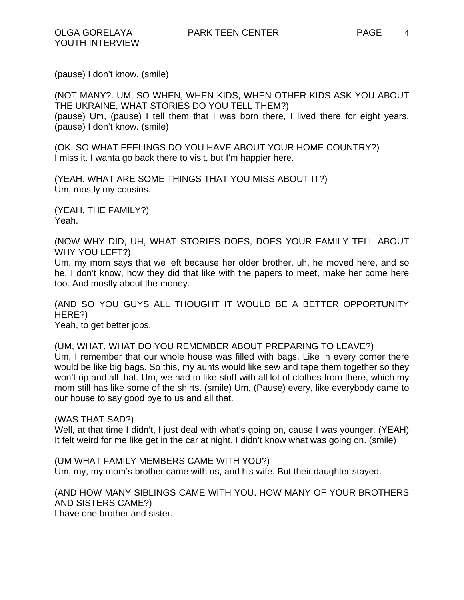(pause) I don't know. (smile)

(NOT MANY?. UM, SO WHEN, WHEN KIDS, WHEN OTHER KIDS ASK YOU ABOUT THE UKRAINE, WHAT STORIES DO YOU TELL THEM?) (pause) Um, (pause) I tell them that I was born there, I lived there for eight years. (pause) I don't know. (smile)

(OK. SO WHAT FEELINGS DO YOU HAVE ABOUT YOUR HOME COUNTRY?) I miss it. I wanta go back there to visit, but I'm happier here.

(YEAH. WHAT ARE SOME THINGS THAT YOU MISS ABOUT IT?) Um, mostly my cousins.

(YEAH, THE FAMILY?) Yeah.

(NOW WHY DID, UH, WHAT STORIES DOES, DOES YOUR FAMILY TELL ABOUT WHY YOU LEFT?)

Um, my mom says that we left because her older brother, uh, he moved here, and so he, I don't know, how they did that like with the papers to meet, make her come here too. And mostly about the money.

(AND SO YOU GUYS ALL THOUGHT IT WOULD BE A BETTER OPPORTUNITY HERE?)

Yeah, to get better jobs.

(UM, WHAT, WHAT DO YOU REMEMBER ABOUT PREPARING TO LEAVE?) Um, I remember that our whole house was filled with bags. Like in every corner there would be like big bags. So this, my aunts would like sew and tape them together so they won't rip and all that. Um, we had to like stuff with all lot of clothes from there, which my mom still has like some of the shirts. (smile) Um, (Pause) every, like everybody came to our house to say good bye to us and all that.

(WAS THAT SAD?)

Well, at that time I didn't, I just deal with what's going on, cause I was younger. (YEAH) It felt weird for me like get in the car at night, I didn't know what was going on. (smile)

(UM WHAT FAMILY MEMBERS CAME WITH YOU?) Um, my, my mom's brother came with us, and his wife. But their daughter stayed.

(AND HOW MANY SIBLINGS CAME WITH YOU. HOW MANY OF YOUR BROTHERS AND SISTERS CAME?)

I have one brother and sister.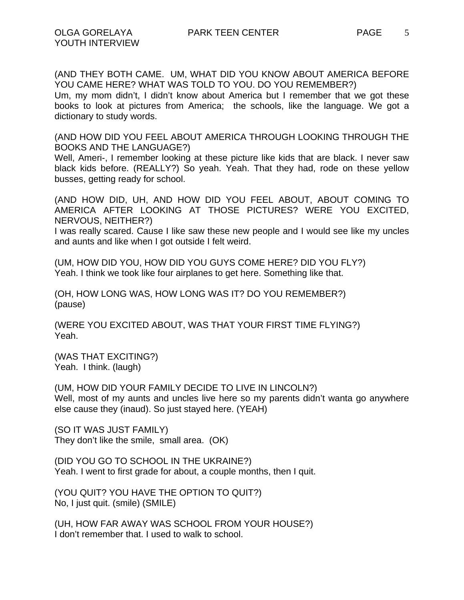(AND THEY BOTH CAME. UM, WHAT DID YOU KNOW ABOUT AMERICA BEFORE YOU CAME HERE? WHAT WAS TOLD TO YOU. DO YOU REMEMBER?)

Um, my mom didn't, I didn't know about America but I remember that we got these books to look at pictures from America; the schools, like the language. We got a dictionary to study words.

(AND HOW DID YOU FEEL ABOUT AMERICA THROUGH LOOKING THROUGH THE BOOKS AND THE LANGUAGE?)

Well, Ameri-, I remember looking at these picture like kids that are black. I never saw black kids before. (REALLY?) So yeah. Yeah. That they had, rode on these yellow busses, getting ready for school.

(AND HOW DID, UH, AND HOW DID YOU FEEL ABOUT, ABOUT COMING TO AMERICA AFTER LOOKING AT THOSE PICTURES? WERE YOU EXCITED, NERVOUS, NEITHER?)

I was really scared. Cause I like saw these new people and I would see like my uncles and aunts and like when I got outside I felt weird.

(UM, HOW DID YOU, HOW DID YOU GUYS COME HERE? DID YOU FLY?) Yeah. I think we took like four airplanes to get here. Something like that.

(OH, HOW LONG WAS, HOW LONG WAS IT? DO YOU REMEMBER?) (pause)

(WERE YOU EXCITED ABOUT, WAS THAT YOUR FIRST TIME FLYING?) Yeah.

(WAS THAT EXCITING?) Yeah. I think. (laugh)

(UM, HOW DID YOUR FAMILY DECIDE TO LIVE IN LINCOLN?) Well, most of my aunts and uncles live here so my parents didn't wanta go anywhere else cause they (inaud). So just stayed here. (YEAH)

(SO IT WAS JUST FAMILY) They don't like the smile, small area. (OK)

(DID YOU GO TO SCHOOL IN THE UKRAINE?) Yeah. I went to first grade for about, a couple months, then I quit.

(YOU QUIT? YOU HAVE THE OPTION TO QUIT?) No, I just quit. (smile) (SMILE)

(UH, HOW FAR AWAY WAS SCHOOL FROM YOUR HOUSE?) I don't remember that. I used to walk to school.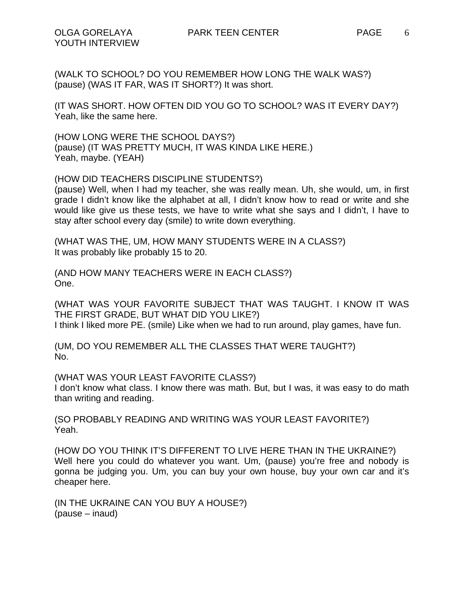(WALK TO SCHOOL? DO YOU REMEMBER HOW LONG THE WALK WAS?) (pause) (WAS IT FAR, WAS IT SHORT?) It was short.

(IT WAS SHORT. HOW OFTEN DID YOU GO TO SCHOOL? WAS IT EVERY DAY?) Yeah, like the same here.

(HOW LONG WERE THE SCHOOL DAYS?) (pause) (IT WAS PRETTY MUCH, IT WAS KINDA LIKE HERE.) Yeah, maybe. (YEAH)

(HOW DID TEACHERS DISCIPLINE STUDENTS?)

(pause) Well, when I had my teacher, she was really mean. Uh, she would, um, in first grade I didn't know like the alphabet at all, I didn't know how to read or write and she would like give us these tests, we have to write what she says and I didn't, I have to stay after school every day (smile) to write down everything.

(WHAT WAS THE, UM, HOW MANY STUDENTS WERE IN A CLASS?) It was probably like probably 15 to 20.

(AND HOW MANY TEACHERS WERE IN EACH CLASS?) One.

(WHAT WAS YOUR FAVORITE SUBJECT THAT WAS TAUGHT. I KNOW IT WAS THE FIRST GRADE, BUT WHAT DID YOU LIKE?) I think I liked more PE. (smile) Like when we had to run around, play games, have fun.

(UM, DO YOU REMEMBER ALL THE CLASSES THAT WERE TAUGHT?) No.

(WHAT WAS YOUR LEAST FAVORITE CLASS?) I don't know what class. I know there was math. But, but I was, it was easy to do math than writing and reading.

(SO PROBABLY READING AND WRITING WAS YOUR LEAST FAVORITE?) Yeah.

(HOW DO YOU THINK IT'S DIFFERENT TO LIVE HERE THAN IN THE UKRAINE?) Well here you could do whatever you want. Um, (pause) you're free and nobody is gonna be judging you. Um, you can buy your own house, buy your own car and it's cheaper here.

(IN THE UKRAINE CAN YOU BUY A HOUSE?) (pause – inaud)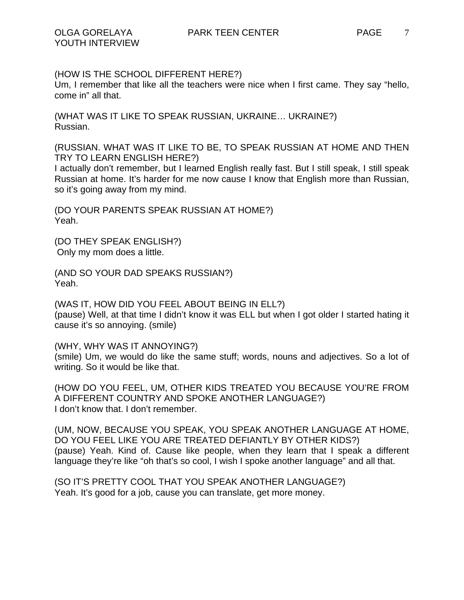Um, I remember that like all the teachers were nice when I first came. They say "hello, come in" all that.

(WHAT WAS IT LIKE TO SPEAK RUSSIAN, UKRAINE… UKRAINE?) Russian.

(RUSSIAN. WHAT WAS IT LIKE TO BE, TO SPEAK RUSSIAN AT HOME AND THEN TRY TO LEARN ENGLISH HERE?)

I actually don't remember, but I learned English really fast. But I still speak, I still speak Russian at home. It's harder for me now cause I know that English more than Russian, so it's going away from my mind.

(DO YOUR PARENTS SPEAK RUSSIAN AT HOME?) Yeah.

(DO THEY SPEAK ENGLISH?) Only my mom does a little.

(AND SO YOUR DAD SPEAKS RUSSIAN?) Yeah.

(WAS IT, HOW DID YOU FEEL ABOUT BEING IN ELL?) (pause) Well, at that time I didn't know it was ELL but when I got older I started hating it cause it's so annoying. (smile)

(WHY, WHY WAS IT ANNOYING?)

(smile) Um, we would do like the same stuff; words, nouns and adjectives. So a lot of writing. So it would be like that.

(HOW DO YOU FEEL, UM, OTHER KIDS TREATED YOU BECAUSE YOU'RE FROM A DIFFERENT COUNTRY AND SPOKE ANOTHER LANGUAGE?) I don't know that. I don't remember.

(UM, NOW, BECAUSE YOU SPEAK, YOU SPEAK ANOTHER LANGUAGE AT HOME, DO YOU FEEL LIKE YOU ARE TREATED DEFIANTLY BY OTHER KIDS?) (pause) Yeah. Kind of. Cause like people, when they learn that I speak a different language they're like "oh that's so cool, I wish I spoke another language" and all that.

(SO IT'S PRETTY COOL THAT YOU SPEAK ANOTHER LANGUAGE?) Yeah. It's good for a job, cause you can translate, get more money.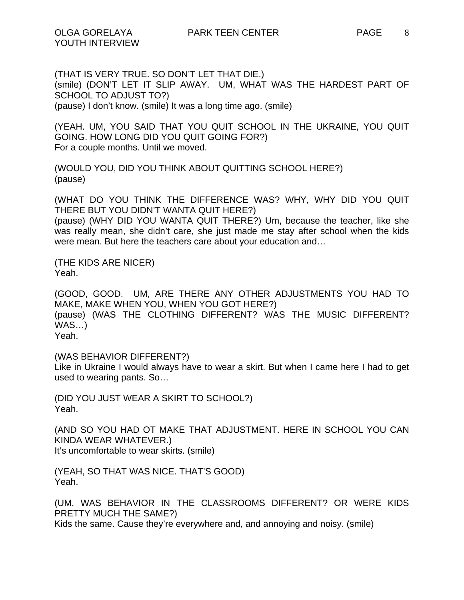(THAT IS VERY TRUE. SO DON'T LET THAT DIE.) (smile) (DON'T LET IT SLIP AWAY. UM, WHAT WAS THE HARDEST PART OF SCHOOL TO ADJUST TO?)

(pause) I don't know. (smile) It was a long time ago. (smile)

(YEAH. UM, YOU SAID THAT YOU QUIT SCHOOL IN THE UKRAINE, YOU QUIT GOING. HOW LONG DID YOU QUIT GOING FOR?) For a couple months. Until we moved.

(WOULD YOU, DID YOU THINK ABOUT QUITTING SCHOOL HERE?) (pause)

(WHAT DO YOU THINK THE DIFFERENCE WAS? WHY, WHY DID YOU QUIT THERE BUT YOU DIDN'T WANTA QUIT HERE?)

(pause) (WHY DID YOU WANTA QUIT THERE?) Um, because the teacher, like she was really mean, she didn't care, she just made me stay after school when the kids were mean. But here the teachers care about your education and…

(THE KIDS ARE NICER) Yeah.

(GOOD, GOOD. UM, ARE THERE ANY OTHER ADJUSTMENTS YOU HAD TO MAKE, MAKE WHEN YOU, WHEN YOU GOT HERE?) (pause) (WAS THE CLOTHING DIFFERENT? WAS THE MUSIC DIFFERENT? WAS…) Yeah.

(WAS BEHAVIOR DIFFERENT?)

Like in Ukraine I would always have to wear a skirt. But when I came here I had to get used to wearing pants. So…

(DID YOU JUST WEAR A SKIRT TO SCHOOL?) Yeah.

(AND SO YOU HAD OT MAKE THAT ADJUSTMENT. HERE IN SCHOOL YOU CAN KINDA WEAR WHATEVER.) It's uncomfortable to wear skirts. (smile)

(YEAH, SO THAT WAS NICE. THAT'S GOOD) Yeah.

(UM, WAS BEHAVIOR IN THE CLASSROOMS DIFFERENT? OR WERE KIDS PRETTY MUCH THE SAME?) Kids the same. Cause they're everywhere and, and annoying and noisy. (smile)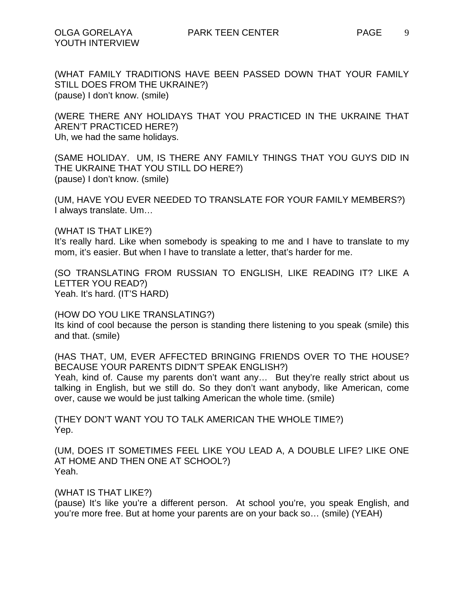9

(WHAT FAMILY TRADITIONS HAVE BEEN PASSED DOWN THAT YOUR FAMILY STILL DOES FROM THE UKRAINE?) (pause) I don't know. (smile)

(WERE THERE ANY HOLIDAYS THAT YOU PRACTICED IN THE UKRAINE THAT AREN'T PRACTICED HERE?) Uh, we had the same holidays.

(SAME HOLIDAY. UM, IS THERE ANY FAMILY THINGS THAT YOU GUYS DID IN THE UKRAINE THAT YOU STILL DO HERE?) (pause) I don't know. (smile)

(UM, HAVE YOU EVER NEEDED TO TRANSLATE FOR YOUR FAMILY MEMBERS?) I always translate. Um…

(WHAT IS THAT LIKE?)

It's really hard. Like when somebody is speaking to me and I have to translate to my mom, it's easier. But when I have to translate a letter, that's harder for me.

(SO TRANSLATING FROM RUSSIAN TO ENGLISH, LIKE READING IT? LIKE A LETTER YOU READ?) Yeah. It's hard. (IT'S HARD)

(HOW DO YOU LIKE TRANSLATING?)

Its kind of cool because the person is standing there listening to you speak (smile) this and that. (smile)

(HAS THAT, UM, EVER AFFECTED BRINGING FRIENDS OVER TO THE HOUSE? BECAUSE YOUR PARENTS DIDN'T SPEAK ENGLISH?)

Yeah, kind of. Cause my parents don't want any… But they're really strict about us talking in English, but we still do. So they don't want anybody, like American, come over, cause we would be just talking American the whole time. (smile)

(THEY DON'T WANT YOU TO TALK AMERICAN THE WHOLE TIME?) Yep.

(UM, DOES IT SOMETIMES FEEL LIKE YOU LEAD A, A DOUBLE LIFE? LIKE ONE AT HOME AND THEN ONE AT SCHOOL?) Yeah.

(WHAT IS THAT LIKE?)

(pause) It's like you're a different person. At school you're, you speak English, and you're more free. But at home your parents are on your back so… (smile) (YEAH)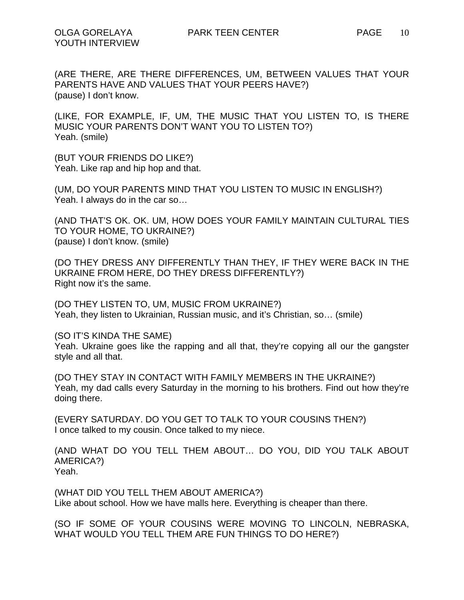(ARE THERE, ARE THERE DIFFERENCES, UM, BETWEEN VALUES THAT YOUR PARENTS HAVE AND VALUES THAT YOUR PEERS HAVE?) (pause) I don't know.

(LIKE, FOR EXAMPLE, IF, UM, THE MUSIC THAT YOU LISTEN TO, IS THERE MUSIC YOUR PARENTS DON'T WANT YOU TO LISTEN TO?) Yeah. (smile)

(BUT YOUR FRIENDS DO LIKE?) Yeah. Like rap and hip hop and that.

(UM, DO YOUR PARENTS MIND THAT YOU LISTEN TO MUSIC IN ENGLISH?) Yeah. I always do in the car so…

(AND THAT'S OK. OK. UM, HOW DOES YOUR FAMILY MAINTAIN CULTURAL TIES TO YOUR HOME, TO UKRAINE?) (pause) I don't know. (smile)

(DO THEY DRESS ANY DIFFERENTLY THAN THEY, IF THEY WERE BACK IN THE UKRAINE FROM HERE, DO THEY DRESS DIFFERENTLY?) Right now it's the same.

(DO THEY LISTEN TO, UM, MUSIC FROM UKRAINE?) Yeah, they listen to Ukrainian, Russian music, and it's Christian, so… (smile)

(SO IT'S KINDA THE SAME)

Yeah. Ukraine goes like the rapping and all that, they're copying all our the gangster style and all that.

(DO THEY STAY IN CONTACT WITH FAMILY MEMBERS IN THE UKRAINE?) Yeah, my dad calls every Saturday in the morning to his brothers. Find out how they're doing there.

(EVERY SATURDAY. DO YOU GET TO TALK TO YOUR COUSINS THEN?) I once talked to my cousin. Once talked to my niece.

(AND WHAT DO YOU TELL THEM ABOUT… DO YOU, DID YOU TALK ABOUT AMERICA?) Yeah.

(WHAT DID YOU TELL THEM ABOUT AMERICA?) Like about school. How we have malls here. Everything is cheaper than there.

(SO IF SOME OF YOUR COUSINS WERE MOVING TO LINCOLN, NEBRASKA, WHAT WOULD YOU TELL THEM ARE FUN THINGS TO DO HERE?)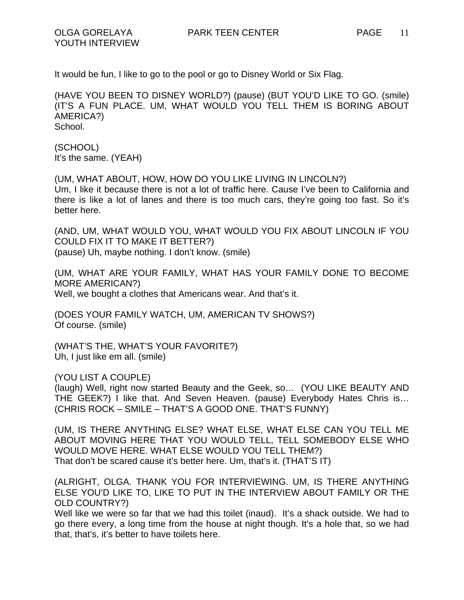It would be fun, I like to go to the pool or go to Disney World or Six Flag.

(HAVE YOU BEEN TO DISNEY WORLD?) (pause) (BUT YOU'D LIKE TO GO. (smile) (IT'S A FUN PLACE. UM, WHAT WOULD YOU TELL THEM IS BORING ABOUT AMERICA?) School.

(SCHOOL) It's the same. (YEAH)

(UM, WHAT ABOUT, HOW, HOW DO YOU LIKE LIVING IN LINCOLN?)

Um, I like it because there is not a lot of traffic here. Cause I've been to California and there is like a lot of lanes and there is too much cars, they're going too fast. So it's better here.

(AND, UM, WHAT WOULD YOU, WHAT WOULD YOU FIX ABOUT LINCOLN IF YOU COULD FIX IT TO MAKE IT BETTER?) (pause) Uh, maybe nothing. I don't know. (smile)

(UM, WHAT ARE YOUR FAMILY, WHAT HAS YOUR FAMILY DONE TO BECOME MORE AMERICAN?) Well, we bought a clothes that Americans wear. And that's it.

(DOES YOUR FAMILY WATCH, UM, AMERICAN TV SHOWS?) Of course. (smile)

(WHAT'S THE, WHAT'S YOUR FAVORITE?) Uh, I just like em all. (smile)

(YOU LIST A COUPLE)

(laugh) Well, right now started Beauty and the Geek, so… (YOU LIKE BEAUTY AND THE GEEK?) I like that. And Seven Heaven. (pause) Everybody Hates Chris is… (CHRIS ROCK – SMILE – THAT'S A GOOD ONE. THAT'S FUNNY)

(UM, IS THERE ANYTHING ELSE? WHAT ELSE, WHAT ELSE CAN YOU TELL ME ABOUT MOVING HERE THAT YOU WOULD TELL, TELL SOMEBODY ELSE WHO WOULD MOVE HERE. WHAT ELSE WOULD YOU TELL THEM?) That don't be scared cause it's better here. Um, that's it. (THAT'S IT)

(ALRIGHT, OLGA. THANK YOU FOR INTERVIEWING. UM, IS THERE ANYTHING ELSE YOU'D LIKE TO, LIKE TO PUT IN THE INTERVIEW ABOUT FAMILY OR THE OLD COUNTRY?)

Well like we were so far that we had this toilet (inaud). It's a shack outside. We had to go there every, a long time from the house at night though. It's a hole that, so we had that, that's, it's better to have toilets here.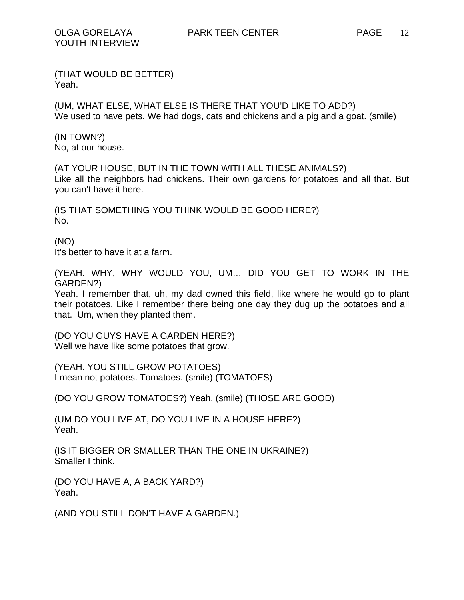(THAT WOULD BE BETTER) Yeah.

(UM, WHAT ELSE, WHAT ELSE IS THERE THAT YOU'D LIKE TO ADD?) We used to have pets. We had dogs, cats and chickens and a pig and a goat. (smile)

(IN TOWN?) No, at our house.

(AT YOUR HOUSE, BUT IN THE TOWN WITH ALL THESE ANIMALS?) Like all the neighbors had chickens. Their own gardens for potatoes and all that. But you can't have it here.

(IS THAT SOMETHING YOU THINK WOULD BE GOOD HERE?) No.

(NO) It's better to have it at a farm.

(YEAH. WHY, WHY WOULD YOU, UM… DID YOU GET TO WORK IN THE GARDEN?)

Yeah. I remember that, uh, my dad owned this field, like where he would go to plant their potatoes. Like I remember there being one day they dug up the potatoes and all that. Um, when they planted them.

(DO YOU GUYS HAVE A GARDEN HERE?) Well we have like some potatoes that grow.

(YEAH. YOU STILL GROW POTATOES) I mean not potatoes. Tomatoes. (smile) (TOMATOES)

(DO YOU GROW TOMATOES?) Yeah. (smile) (THOSE ARE GOOD)

(UM DO YOU LIVE AT, DO YOU LIVE IN A HOUSE HERE?) Yeah.

(IS IT BIGGER OR SMALLER THAN THE ONE IN UKRAINE?) Smaller I think.

(DO YOU HAVE A, A BACK YARD?) Yeah.

(AND YOU STILL DON'T HAVE A GARDEN.)